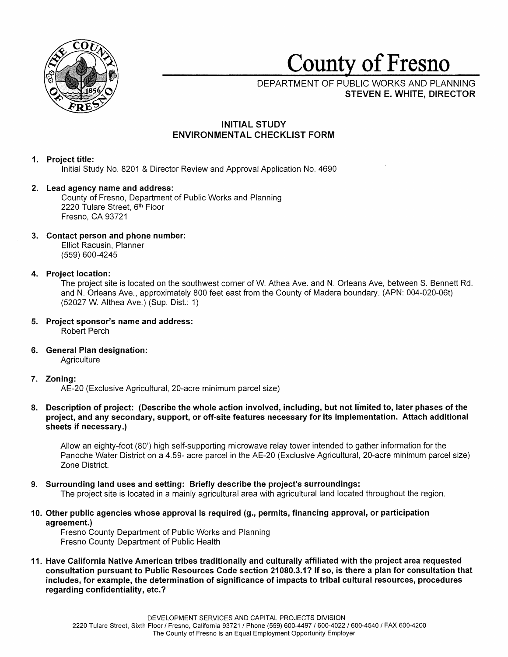

# County of Fresno

DEPARTMENT OF PUBLIC WORKS AND PLANNING **STEVEN E. WHITE, DIRECTOR** 

## **INITIAL STUDY ENVIRONMENTAL CHECKLIST FORM**

## **1. Project title:**

Initial Study No. 8201 & Director Review and Approval Application No. 4690

## **2. Lead agency name and address:**

County of Fresno, Department of Public Works and Planning 2220 Tulare Street, 6<sup>th</sup> Floor Fresno, CA 93721

**3. Contact person and phone number:**  Elliot Racusin, Planner (559) 600-4245

## **4. Project location:**

The project site is located on the southwest corner of W. Athea Ave. and **N.** Orleans Ave, between S. Bennett Rd. and **N.** Orleans Ave., approximately 800 feet east from the County of Madera boundary. (APN: 004-020-06t) (52027 W. Althea Ave.) (Sup. Dist.: 1)

- **5. Project sponsor's name and address:**  Robert Perch
- **6. General Plan designation: Agriculture**

## **7. Zoning:**

AE-20 (Exclusive Agricultural, 20-acre minimum parcel size)

**8. Description of project: (Describe the whole action involved, including, but not lfmited to, later phases of the project, and any secondary, support, or off-site features necessary for its implementation. Attach additional sheets if necessary.)** 

Allow an eighty-foot (80') high self-supporting microwave relay tower intended to gather information for the Panache Water District on a 4.59- acre parcel in the AE-20 (Exclusive Agricultural, 20-acre minimum parcel size) Zone District.

**9. Surrounding land uses and setting: Briefly describe the project's surroundings:** 

The project site is located in a mainly agricultural area with agricultural land located throughout the region.

**1 O. Other public agencies whose approval is required (g., permits, financing approval, or participation agreement.)** 

Fresno County Department of Public Works and Planning Fresno County Department of Public Health

**11. Have California Native American tribes traditionally and culturally affiliated with the project area requested consultation pursuant to Public Resources Code section 21080.3.1? If so, is there a plan for consultation that includes, for example, the determination of significance of impacts to tribal cultural resources, procedures regarding confidentiality, etc.?**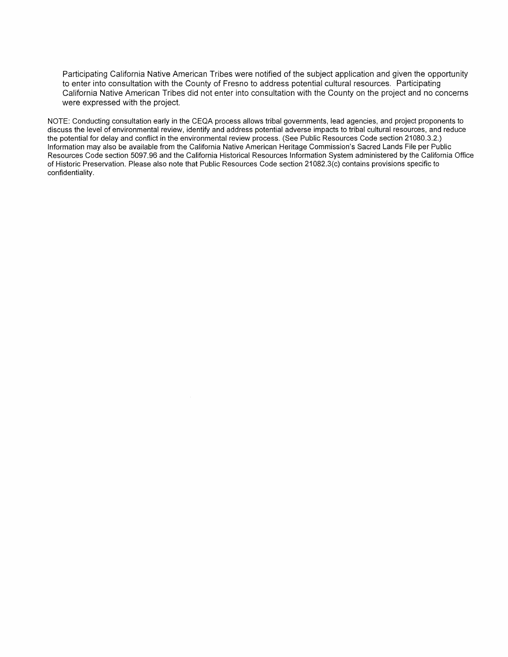Participating California Native American Tribes were notified of the subject application and given the opportunity to enter into consultation with the County of Fresno to address potential cultural resources. Participating California Native American Tribes did not enter into consultation with the County on the project and no concerns were expressed with the project.

NOTE: Conducting consultation early in the CEQA process allows tribal governments, lead agencies, and project proponents to discuss the level of environmental review, identify and address potential adverse impacts to tribal cultural resources, and reduce the potential for delay and conflict in the environmental review process. (See Public Resources Code section 21080.3.2.) Information may also be available from the California Native American Heritage Commission's Sacred Lands File per Public Resources Code section 5097.96 and the California Historical Resources Information System administered by the California Office of Historic Preservation. Please also note that Public Resources Code section 21082.3(c) contains provisions specific to confidentiality.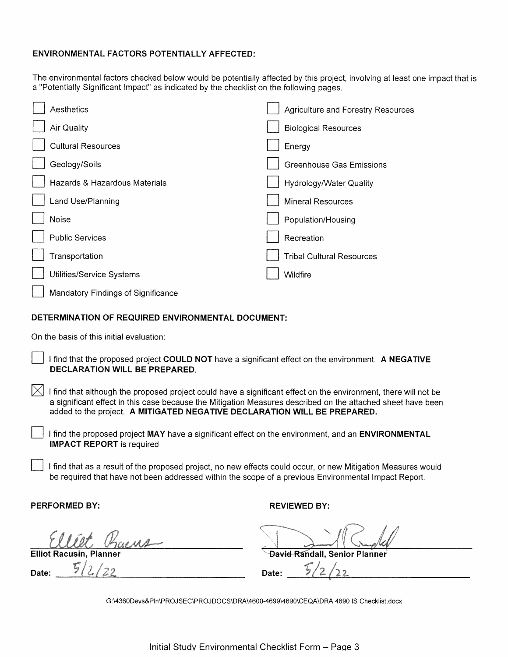## **ENVIRONMENTAL FACTORS POTENTIALLY AFFECTED:**

The environmental factors checked below would be potentially affected by this project, involving at least one impact that is a "Potentially Significant Impact" as indicated by the checklist on the following pages.

|       | Aesthetics                         | Agriculture and Forestry Resources |
|-------|------------------------------------|------------------------------------|
|       | <b>Air Quality</b>                 | <b>Biological Resources</b>        |
|       | <b>Cultural Resources</b>          | Energy                             |
|       | Geology/Soils                      | <b>Greenhouse Gas Emissions</b>    |
|       | Hazards & Hazardous Materials      | Hydrology/Water Quality            |
|       | Land Use/Planning                  | <b>Mineral Resources</b>           |
| Noise |                                    | Population/Housing                 |
|       | <b>Public Services</b>             | Recreation                         |
|       | Transportation                     | <b>Tribal Cultural Resources</b>   |
|       | Utilities/Service Systems          | Wildfire                           |
|       | Mandatory Findings of Significance |                                    |

## **DETERMINATION OF REQUIRED ENVIRONMENTAL DOCUMENT:**

On the basis of this initial evaluation:

- D I find that the proposed project **COULD NOT** have a significant effect on the environment. **A NEGATIVE DECLARATION WILL BE PREPARED.**
- $[$  $\bowtie$  I find that although the proposed project could have a significant effect on the environment, there will not be a significant effect in this case because the Mitigation Measures described on the attached sheet have been added to the project. **A MITIGATED NEGATIVE DECLARATION WILL BE PREPARED.** 
	- D I find the proposed project **MAY** have a significant effect on the environment, and an **ENVIRONMENTAL IMPACT REPORT** is required
	- D I find that as a result of the proposed project, no new effects could occur, or new Mitigation Measures would be required that have not been addressed within the scope of a previous Environmental Impact Report.

**PERFORMED BY: REVIEWED BY:** 

**Elliot Racusin.**  $\mathcal{L}/\mathcal{L}$ 

**Date:**  $\frac{5/2}{22}$ 

David Randall, Senior )<br>2

G:\4360Devs&Pln\PROJSEC\PROJDOCS\DRA\4600-4699\4690\CEQA\DRA 4690 IS Checklist.docx

Date: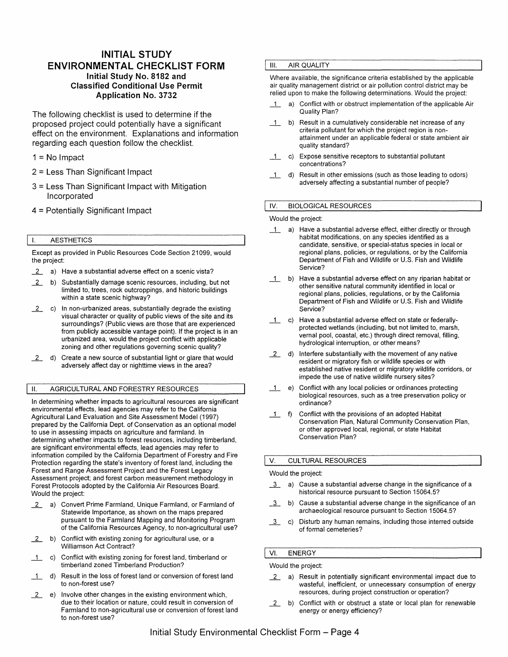## **INITIAL STUDY ENVIRONMENTAL CHECKLIST FORM Initial Study No. 8182 and Classified Conditional Use Permit Application No. 3732**

The following checklist is used to determine if the proposed project could potentially have a significant effect on the environment. Explanations and information regarding each question follow the checklist.

 $1 = No$  Impact

- 2 = Less Than Significant Impact
- 3 = Less Than Significant Impact with Mitigation Incorporated
- 4 = Potentially Significant Impact

#### I. AESTHETICS

Except as provided in Public Resources Code Section 21099, would the project:

2. a) Have a substantial adverse effect on a scenic vista?

- \_2.\_\_ b) Substantially damage scenic resources, including, but not limited to, trees, rock outcroppings, and historic buildings within a state scenic highway?
- \_2.\_\_ c) In non-urbanized areas, substantially degrade the existing visual character or quality of public views of the site and its surroundings? (Public views are those that are experienced from publicly accessible vantage point). If the project is in an urbanized area, would the project conflict with applicable zoning and other regulations governing scenic quality?
- 2 d) Create a new source of substantial light or glare that would adversely affect day or nighttime views in the area?

#### II. AGRICULTURAL AND FORESTRY RESOURCES

In determining whether impacts to agricultural resources are significant environmental effects, lead agencies may refer to the California Agricultural Land Evaluation and Site Assessment Model (1997) prepared by the California Dept. of Conservation as an optional model to use in assessing impacts on agriculture and farmland. In determining whether impacts to forest resources, including timberland, are significant environmental effects, lead agencies may refer to information compiled by the California Department of Forestry and Fire Protection regarding the state's inventory of forest land, including the Forest and Range Assessment Project and the Forest Legacy Assessment project; and forest carbon measurement methodology in Forest Protocols adopted by the California Air Resources Board. Would the project:

- 2. a) Convert Prime Farmland, Unique Farmland, or Farmland of Statewide Importance, as shown on the maps prepared pursuant to the Farmland Mapping and Monitoring Program of the California Resources Agency, to non-agricultural use?
- \_2.\_\_ b) Conflict with existing zoning for agricultural use, or a Williamson Act Contract?
- \_1\_ c) Conflict with existing zoning for forest land, timberland or timberland zoned Timberland Production?
- 1 d) Result in the loss of forest land or conversion of forest land to non-forest use?
- \_2.\_\_ e) Involve other changes in the existing environment which, due to their location or nature, could result in conversion of Farmland to non-agricultural use or conversion of forest land to non-forest use?

#### III. AIR QUALITY

Where available, the significance criteria established by the applicable air quality management district or air pollution control district may be relied upon to make the following determinations. Would the project:

- 1 a) Conflict with or obstruct implementation of the applicable Air Quality Plan?
- \_1\_ b) Result in a cumulatively considerable net increase of any criteria pollutant for which the project region is nonattainment under an applicable federal or state ambient air quality standard?
- \_1\_ c) Expose sensitive receptors to substantial pollutant concentrations?
- \_1\_ d) Result in other emissions (such as those leading to odors) adversely affecting a substantial number of people?

#### IV. BIOLOGICAL RESOURCES

#### Would the project:

- 1 a) Have a substantial adverse effect, either directly or through habitat modifications, on any species identified as a candidate, sensitive, or special-status species in local or regional plans, policies, or regulations, or by the California Department of Fish and Wildlife or U.S. Fish and Wildlife Service?
- 1 b) Have a substantial adverse effect on any riparian habitat or other sensitive natural community identified in local or regional plans, policies, regulations, or by the California Department of Fish and Wildlife or U.S. Fish and Wildlife Service?
- \_1\_ c) Have a substantial adverse effect on state or federallyprotected wetlands (including, but not limited to, marsh, vernal pool, coastal, etc.) through direct removal, filling, hydrological interruption, or other means?
- 2 d) Interfere substantially with the movement of any native resident or migratory fish or wildlife species or with established native resident or migratory wildlife corridors, or impede the use of native wildlife nursery sites?
- \_1\_ e) Conflict with any local policies or ordinances protecting biological resources, such as a tree preservation policy or ordinance?
- 1 f) Conflict with the provisions of an adopted Habitat Conservation Plan, Natural Community Conservation Plan, or other approved local, regional, or state Habitat Conservation Plan?

#### V. CULTURAL RESOURCES

#### Would the project:

- *i* a) Cause a substantial adverse change in the significance of a historical resource pursuant to Section 15064.5?
- *i* b) Cause a substantial adverse change in the significance of an archaeological resource pursuant to Section 15064.5?
- *i* c) Disturb any human remains, including those interred outside of formal cemeteries?

## VI. ENERGY

## Would the project:

- 2. a) Result in potentially significant environmental impact due to wasteful, inefficient, or unnecessary consumption of energy resources, during project construction or operation?
- \_2.\_\_ b) Conflict with or obstruct a state or local plan for renewable energy or energy efficiency?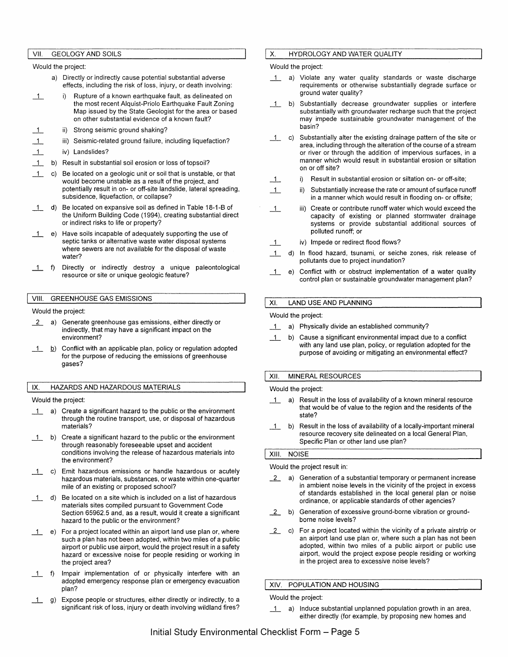#### VII. GEOLOGY AND SOILS

Would the project:

- a) Directly or indirectly cause potential substantial adverse effects, including the risk of loss, injury, or death involving:
- 1 i) Rupture of a known earthquake fault, as delineated on the most recent Alquist-Priolo Earthquake Fault Zoning Map issued by the State Geologist for the area or based on other substantial evidence of a known fault?
- $\perp$ ii) Strong seismic ground shaking?
- $\perp$ iii) Seismic-related ground failure, including liquefaction?
- $\overline{1}$ iv) Landslides?
- $\overline{1}$ b) Result in substantial soil erosion or loss of topsoil?
- $\perp$ c) Be located on a geologic unit or soil that is unstable, or that would become unstable as a result of the project, and potentially result in on- or off-site landslide, lateral spreading, subsidence, liquefaction, or collapse?
- 1 d) Be located on expansive soil as defined in Table 18-1-B of the Uniform Building Code (1994), creating substantial direct or indirect risks to life or property?
- \_1\_ e) Have soils incapable of adequately supporting the use of septic tanks or alternative waste water disposal systems where sewers are not available for the disposal of waste water?
- \_1\_ f) Directly or indirectly destroy a unique paleontological resource or site or unique geologic feature?

#### VIII. GREENHOUSE GAS EMISSIONS

Would the project:

- $2$  a) Generate greenhouse gas emissions, either directly or indirectly, that may have a significant impact on the environment?
- 1 b) Conflict with an applicable plan, policy or regulation adopted for the purpose of reducing the emissions of greenhouse gases?

#### IX. HAZARDS AND HAZARDOUS MATERIALS

Would the project:

- \_1\_ a) Create a significant hazard to the public or the environment through the routine transport, use, or disposal of hazardous materials?
- \_1\_ b) Create a significant hazard to the public or the environment through reasonably foreseeable upset and accident conditions involving the release of hazardous materials into the environment?
- 1 c) Emit hazardous emissions or handle hazardous or acutely hazardous materials, substances, or waste within one-quarter mile of an existing or proposed school?
- \_1\_ d) Be located on a site which is included on a list of hazardous materials sites compiled pursuant to Government Code Section 65962.5 and, as a result, would it create a significant hazard to the public or the environment?
- \_1\_ e) For a project located within an airport land use plan or, where such a plan has not been adopted, within two miles of a public airport or public use airport, would the project result in a safety hazard or excessive noise for people residing or working in the project area?
- \_1\_ f) Impair implementation of or physically interfere with an adopted emergency response plan or emergency evacuation plan?
- 1 g) Expose people or structures, either directly or indirectly, to a significant risk of loss, injury or death involving wildland fires?

#### X. HYDROLOGY AND WATER QUALITY

Would the project:

- 1 a) Violate any water quality standards or waste discharge requirements or otherwise substantially degrade surface or ground water quality?
- \_1\_ b) Substantially decrease groundwater supplies or interfere substantially with groundwater recharge such that the project may impede sustainable groundwater management of the basin?
- \_1\_ c) Substantially alter the existing drainage pattern of the site or area, including through the alteration of the course of a stream or river or through the addition of impervious surfaces, in a manner which would result in substantial erosion or siltation on or off site?
- $1$  i) Result in substantial erosion or siltation on- or off-site;
- $\overline{1}$ Substantially increase the rate or amount of surface runoff in a manner which would result in flooding on- or offsite;
- $1$ iii) Create or contribute runoff water which would exceed the capacity of existing or planned stormwater drainage systems or provide substantial additional sources of polluted runoff; or
- \_1\_ iv) Impede or redirect flood flows?
- 1 d) In flood hazard, tsunami, or seiche zones, risk release of pollutants due to project inundation?
- \_1\_ e) Conflict with or obstruct implementation of a water quality control plan or sustainable groundwater management plan?

#### XI. LAND USE AND PLANNING

Would the project:

- 1 a) Physically divide an established community?
- \_1\_ b) Cause a significant environmental impact due to a conflict with any land use plan, policy, or regulation adopted for the purpose of avoiding or mitigating an environmental effect?

#### XII. MINERAL RESOURCES

Would the project:

- 1 a) Result in the loss of availability of a known mineral resource that would be of value to the region and the residents of the state?
- \_1\_ b) Result in the loss of availability of a locally-important mineral resource recovery site delineated on a local General Plan, Specific Plan or other land use plan?

#### **XIII. NOISE**

Would the project result in:

- $2$  a) Generation of a substantial temporary or permanent increase in ambient noise levels in the vicinity of the project in excess of standards established in the local general plan or noise ordinance, or applicable standards of other agencies?
- 2 b) Generation of excessive ground-borne vibration or groundborne noise levels?
- $2$  c) For a project located within the vicinity of a private airstrip or an airport land use plan or, where such a plan has not been adopted, within two miles of a public airport or public use airport, would the project expose people residing or working in the project area to excessive noise levels?

#### XIV. POPULATION AND HOUSING

Would the project:

\_1\_ a) Induce substantial unplanned population growth in an area, either directly (for example, by proposing new homes and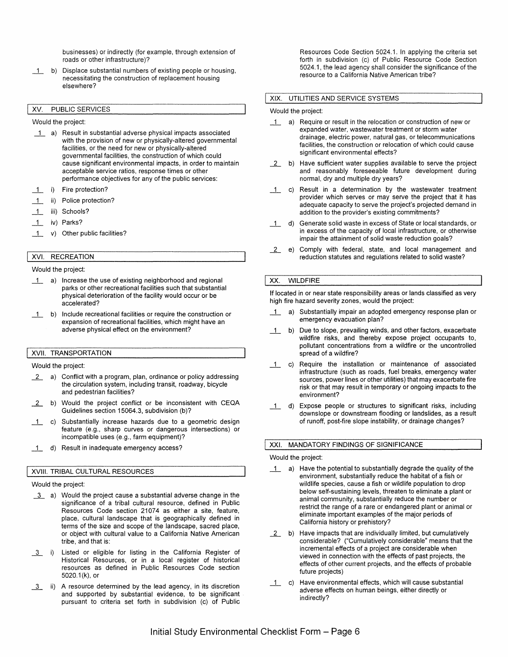businesses) or indirectly (for example, through extension of roads or other infrastructure)?

\_1\_ b) Displace substantial numbers of existing people or housing, necessitating the construction of replacement housing elsewhere?

#### XV. PUBLIC SERVICES

Would the project:

- \_1\_ a) Result in substantial adverse physical impacts associated with the provision of new or physically-altered governmental facilities, or the need for new or physically-altered governmental facilities, the construction of which could cause significant environmental impacts, in order to maintain acceptable service ratios, response times or other performance objectives for any of the public services:
- 1 i) Fire protection?
- \_1\_ ii) Police protection?
- \_1\_ iii) Schools?
- \_1\_ iv) Parks?
- 1 v) Other public facilities?

## XVI. RECREATION

#### Would the project:

- \_1\_ a) Increase the use of existing neighborhood and regional parks or other recreational facilities such that substantial physical deterioration of the facility would occur or be accelerated?
- \_1\_ b) Include recreational facilities or require the construction or expansion of recreational facilities, which might have an adverse physical effect on the environment?

#### **XVII. TRANSPORTATION**

#### Would the project:

- \_2\_ a) Conflict with a program, plan, ordinance or policy addressing the circulation system, including transit, roadway, bicycle and pedestrian facilities?
- 2 b) Would the project conflict or be inconsistent with CEQA Guidelines section 15064.3, subdivision (b)?
- \_1\_ c) Substantially increase hazards due to a geometric design feature (e.g., sharp curves or dangerous intersections) or incompatible uses (e.g., farm equipment)?
- \_1\_ d) Result in inadequate emergency access?

#### XVIII. TRIBAL CULTURAL RESOURCES

#### Would the project:

- *i* a) Would the project cause a substantial adverse change in the significance of a tribal cultural resource, defined in Public Resources Code section 21074 as either a site, feature, place, cultural landscape that is geographically defined in terms of the size and scope of the landscape, sacred place, or object with cultural value to a California Native American tribe, and that is:
- 13 i) Listed or eligible for listing in the California Register of Historical Resources, or in a local register of historical resources as defined in Public Resources Code section 5020.1 (k), or
- **1** ii) A resource determined by the lead agency, in its discretion and supported by substantial evidence, to be significant pursuant to criteria set forth in subdivision (c) of Public

Resources Code Section 5024.1. In applying the criteria set forth in subdivision (c) of Public Resource Code Section 5024.1, the lead agency shall consider the significance of the resource to a California Native American tribe?

#### **XIX.** UTILITIES AND SERVICE SYSTEMS

#### Would the project:

- \_1\_ a) Require or result in the relocation or construction of new or expanded water, wastewater treatment or storm water drainage, electric power, natural gas, or telecommunications facilities, the construction or relocation of which could cause significant environmental effects?
- \_2\_ b) Have sufficient water supplies available to serve the project and reasonably foreseeable future development during normal, dry and multiple dry years?
- \_1\_ c) Result in a determination by the wastewater treatment provider which serves or may serve the project that it has adequate capacity to serve the project's projected demand in addition to the provider's existing commitments?
- \_1\_ d) Generate solid waste in excess of State or local standards, or in excess of the capacity of local infrastructure, or otherwise impair the attainment of solid waste reduction goals?
- \_2\_ e) Comply with federal, state, and local management and reduction statutes and regulations related to solid waste?

#### XX. WILDFIRE

If located in or near state responsibility areas or lands classified as very high fire hazard severity zones, would the project:

- \_1\_ a) Substantially impair an adopted emergency response plan or emergency evacuation plan?
- 1 b) Due to slope, prevailing winds, and other factors, exacerbate wildfire risks, and thereby expose project occupants to, pollutant concentrations from a wildfire or the uncontrolled spread of a wildfire?
- \_1\_ c) Require the installation or maintenance of associated infrastructure (such as roads, fuel breaks, emergency water sources, power lines or other utilities) that may exacerbate fire risk or that may result in temporary or ongoing impacts to the environment?
- \_1\_ d) Expose people or structures to significant risks, including downslope or downstream flooding or landslides, as a result of runoff, post-fire slope instability, or drainage changes?

#### XXI. MANDATORY FINDINGS OF SIGNIFICANCE

#### Would the project:

- \_1\_ a) Have the potential to substantially degrade the quality of the environment, substantially reduce the habitat of a fish or wildlife species, cause a fish or wildlife population to drop below self-sustaining levels, threaten to eliminate a plant or animal community, substantially reduce the number or restrict the range of a rare or endangered plant or animal or eliminate important examples of the major periods of California history or prehistory?
- \_2\_ b) Have impacts that are individually limited, but cumulatively considerable? ("Cumulatively considerable" means that the incremental effects of a project are considerable when viewed in connection with the effects of past projects, the effects of other current projects, and the effects of probable future projects)
- \_1\_ c) Have environmental effects, which will cause substantial adverse effects on human beings, either directly or indirectly?